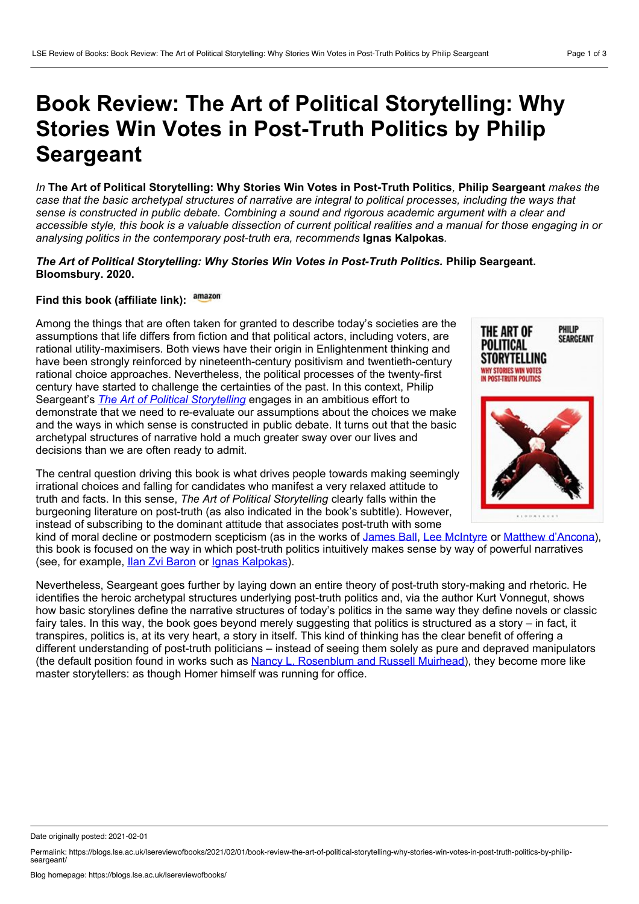## **Book Review: The Art of Political Storytelling: Why Stories Win Votes in Post-Truth Politics by Philip Seargeant**

In The Art of Political Storytelling: Why Stories Win Votes in Post-Truth Politics, Philip Seargeant makes the case that the basic archetypal structures of narrative are integral to political processes, including the ways that *sense is constructed in public debate. Combining a sound and rigorous academic argument with a clear and* accessible style, this book is a valuable dissection of current political realities and a manual for those engaging in or *analysing politics in the contemporary post-truth era, recommends* **Ignas Kalpokas***.*

## *The Art of Political Storytelling: Why Stories Win Votes in Post-Truth Politics.* **Philip Seargeant. Bloomsbury. 2020.**

## **Find this book (affiliate link):**

Among the things that are often taken for granted to describe today's societies are the assumptions that life differs from fiction and that political actors, including voters, are rational utility-maximisers. Both views have their origin in Enlightenment thinking and have been strongly reinforced by nineteenth-century positivism and twentieth-century rational choice approaches. Nevertheless, the political processes of the twenty-first century have started to challenge the certainties of the past. In this context, Philip Seargeant's *The Art of Political [Storytelling](https://www.bloomsbury.com/uk/the-art-of-political-storytelling-9781350107410/)* engages in an ambitious effort to demonstrate that we need to re-evaluate our assumptions about the choices we make and the ways in which sense is constructed in public debate. It turns out that the basic archetypal structures of narrative hold a much greater sway over our lives and decisions than we are often ready to admit.

The central question driving this book is what drives people towards making seemingly irrational choices and falling for candidates who manifest a very relaxed attitude to truth and facts. In this sense, *The Art of Political Storytelling* clearly falls within the burgeoning literature on post-truth (as also indicated in the book's subtitle). However, instead of subscribing to the dominant attitude that associates post-truth with some

kind of moral decline or postmodern scepticism (as in the works of [James](https://www.bitebackpublishing.com/books/post-truth) Ball, Lee [McIntyre](https://mitpress.mit.edu/books/post-truth) or Matthew [d'Ancona\)](https://www.penguin.co.uk/books/111/1114599/post-truth/9781785036873.html), this book is focused on the way in which post-truth politics intuitively makes sense by way of powerful narratives (see, for example, Ilan Zvi [Baron](https://manchesteruniversitypress.co.uk/9781526126856/) or Ignas [Kalpokas\)](https://www.palgrave.com/gp/book/9783319977126).

Nevertheless, Seargeant goes further by laying down an entire theory of post-truth story-making and rhetoric. He identifies the heroic archetypal structures underlying post-truth politics and, via the author Kurt Vonnegut, shows how basic storylines define the narrative structures of today's politics in the same way they define novels or classic fairy tales. In this way, the book goes beyond merely suggesting that politics is structured as a story – in fact, it transpires, politics is, at its very heart, a story in itself. This kind of thinking has the clear benefit of offering a different understanding of post-truth politicians – instead of seeing them solely as pure and depraved manipulators (the default position found in works such as Nancy L. [Rosenblum](https://press.princeton.edu/books/hardcover/9780691188836/a-lot-of-people-are-saying) and Russell Muirhead), they become more like master storytellers: as though Homer himself was running for office.



Date originally posted: 2021-02-01

Permalink: https://blogs.lse.ac.uk/lsereviewofbooks/2021/02/01/book-review-the-art-of-political-storytelling-why-stories-win-votes-in-post-truth-politics-by-philip-<br>seargeant/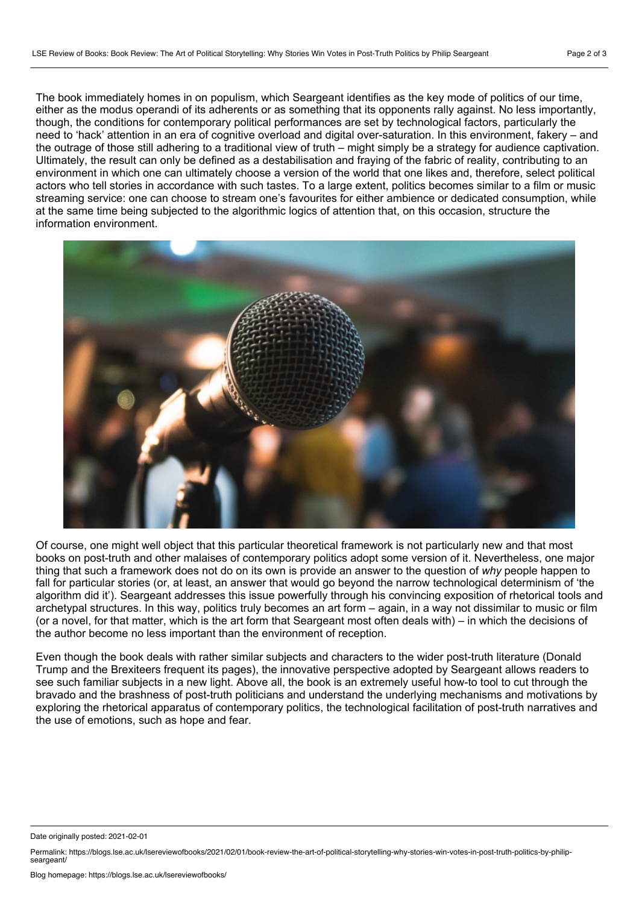The book immediately homes in on populism, which Seargeant identifies as the key mode of politics of our time, either as the modus operandi of its adherents or as something that its opponents rally against. No less importantly, though, the conditions for contemporary political performances are set by technological factors, particularly the need to 'hack' attention in an era of cognitive overload and digital over-saturation. In this environment, fakery – and the outrage of those still adhering to a traditional view of truth – might simply be a strategy for audience captivation. Ultimately, the result can only be defined as a destabilisation and fraying of the fabric of reality, contributing to an environment in which one can ultimately choose a version of the world that one likes and, therefore, select political actors who tell stories in accordance with such tastes. To a large extent, politics becomes similar to a film or music streaming service: one can choose to stream one's favourites for either ambience or dedicated consumption, while at the same time being subjected to the algorithmic logics of attention that, on this occasion, structure the information environment.



Of course, one might well object that this particular theoretical framework is not particularly new and that most books on post-truth and other malaises of contemporary politics adopt some version of it. Nevertheless, one major thing that such a framework does not do on its own is provide an answer to the question of *why* people happen to fall for particular stories (or, at least, an answer that would go beyond the narrow technological determinism of 'the algorithm did it'). Seargeant addresses this issue powerfully through his convincing exposition of rhetorical tools and archetypal structures. In this way, politics truly becomes an art form – again, in a way not dissimilar to music or film (or a novel, for that matter, which is the art form that Seargeant most often deals with) – in which the decisions of the author become no less important than the environment of reception.

Even though the book deals with rather similar subjects and characters to the wider post-truth literature (Donald Trump and the Brexiteers frequent its pages), the innovative perspective adopted by Seargeant allows readers to see such familiar subjects in a new light. Above all, the book is an extremely useful how-to tool to cut through the bravado and the brashness of post-truth politicians and understand the underlying mechanisms and motivations by exploring the rhetorical apparatus of contemporary politics, the technological facilitation of post-truth narratives and the use of emotions, such as hope and fear.

Date originally posted: 2021-02-01

Permalink: https://blogs.lse.ac.uk/lsereviewofbooks/2021/02/01/book-review-the-art-of-political-storytelling-why-stories-win-votes-in-post-truth-politics-by-philip-<br>seargeant/